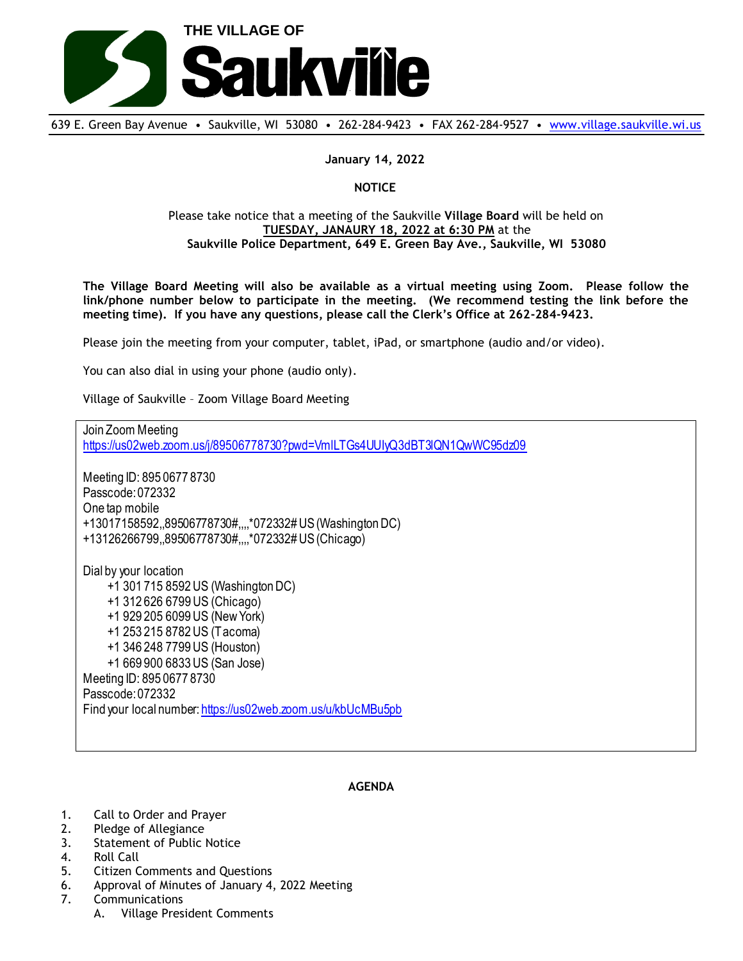

639 E. Green Bay Avenue • Saukville, WI 53080 • 262-284-9423 • FAX 262-284-9527 • [www.village.saukville.wi.us](http://www.village.saukville.wi.us/)

**January 14, 2022**

**NOTICE**

## Please take notice that a meeting of the Saukville **Village Board** will be held on **TUESDAY, JANAURY 18, 2022 at 6:30 PM** at the **Saukville Police Department, 649 E. Green Bay Ave., Saukville, WI 53080**

**The Village Board Meeting will also be available as a virtual meeting using Zoom. Please follow the link/phone number below to participate in the meeting. (We recommend testing the link before the meeting time). If you have any questions, please call the Clerk's Office at 262-284-9423.**

Please join the meeting from your computer, tablet, iPad, or smartphone (audio and/or video).

You can also dial in using your phone (audio only).

Village of Saukville – Zoom Village Board Meeting

Join Zoom Meeting https://us02web.zoom.us/j/89506778730?pwd=VmlLTGs4UUIyQ3dBT3lQN1QwWC95dz09 Meeting ID: 895 0677 8730 Passcode: 072332 One tap mobile +13017158592,,89506778730#,,,,\*072332# US (Washington DC) +13126266799,,89506778730#,,,,\*072332# US (Chicago) Dial by your location +1 301 715 8592 US (Washington DC) +1 312 626 6799 US (Chicago) +1 929 205 6099 US (New York) +1 253 215 8782 US (Tacoma) +1 346 248 7799 US (Houston) +1 669 900 6833 US (San Jose) Meeting ID: 895 0677 8730 Passcode: 072332 Find your local number: https://us02web.zoom.us/u/kbUcMBu5pb

## **AGENDA**

- 1. Call to Order and Prayer
- 2. Pledge of Allegiance
- 3. Statement of Public Notice
- 4. Roll Call
- 5. Citizen Comments and Questions
- 6. Approval of Minutes of January 4, 2022 Meeting
- 7. Communications
	- A. Village President Comments